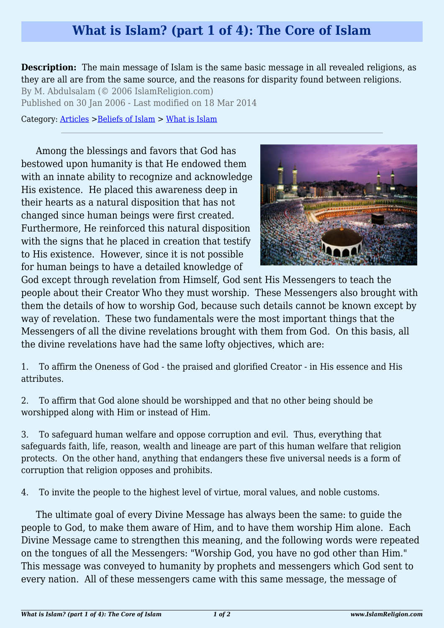## **What is Islam? (part 1 of 4): The Core of Islam**

**Description:** The main message of Islam is the same basic message in all revealed religions, as they are all are from the same source, and the reasons for disparity found between religions.

By M. Abdulsalam (© 2006 IslamReligion.com) Published on 30 Jan 2006 - Last modified on 18 Mar 2014

Category: [Articles](http://www.islamreligion.com/articles/) >[Beliefs of Islam](http://www.islamreligion.com/category/48/) > [What is Islam](http://www.islamreligion.com/category/49/)

Among the blessings and favors that God has bestowed upon humanity is that He endowed them with an innate ability to recognize and acknowledge His existence. He placed this awareness deep in their hearts as a natural disposition that has not changed since human beings were first created. Furthermore, He reinforced this natural disposition with the signs that he placed in creation that testify to His existence. However, since it is not possible for human beings to have a detailed knowledge of



God except through revelation from Himself, God sent His Messengers to teach the people about their Creator Who they must worship. These Messengers also brought with them the details of how to worship God, because such details cannot be known except by way of revelation. These two fundamentals were the most important things that the Messengers of all the divine revelations brought with them from God. On this basis, all the divine revelations have had the same lofty objectives, which are:

1. To affirm the Oneness of God - the praised and glorified Creator - in His essence and His attributes.

2. To affirm that God alone should be worshipped and that no other being should be worshipped along with Him or instead of Him.

3. To safeguard human welfare and oppose corruption and evil. Thus, everything that safeguards faith, life, reason, wealth and lineage are part of this human welfare that religion protects. On the other hand, anything that endangers these five universal needs is a form of corruption that religion opposes and prohibits.

4. To invite the people to the highest level of virtue, moral values, and noble customs.

The ultimate goal of every Divine Message has always been the same: to guide the people to God, to make them aware of Him, and to have them worship Him alone. Each Divine Message came to strengthen this meaning, and the following words were repeated on the tongues of all the Messengers: "Worship God, you have no god other than Him." This message was conveyed to humanity by prophets and messengers which God sent to every nation. All of these messengers came with this same message, the message of